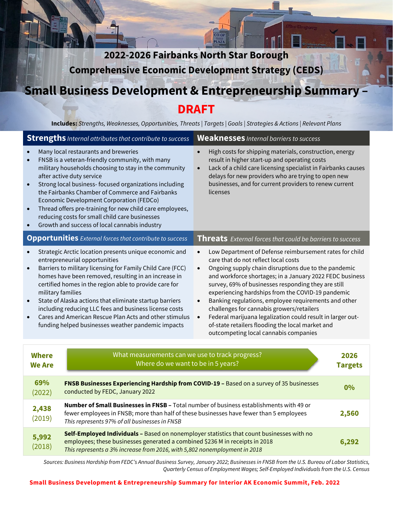**2022-2026 Fairbanks North Star Borough Comprehensive Economic Development Strategy (CEDS)** 

**Business Development & Entrepreneurship Summar** 

 $CO-OP$ **III** PLAZA

# **DRAFT**

**Includes:** *Strengths, Weaknesses, Opportunities, Threats | Targets | Goals | Strategies & Actions | Relevant Plans*

|                                                                                                                                                                                                                                                                                                                                                                                                                                                                                                                                                                          | <b>Strengths</b> <i>Internal attributes that contribute to success</i>                                                                                                                                                                                                                                                                                                                                                                                                                                | <b>Weaknesses</b> Internal barriers to success                                                                                                                                                                                                                                                                                                                                                                                                                                                                                                                                                                                                      |                        |
|--------------------------------------------------------------------------------------------------------------------------------------------------------------------------------------------------------------------------------------------------------------------------------------------------------------------------------------------------------------------------------------------------------------------------------------------------------------------------------------------------------------------------------------------------------------------------|-------------------------------------------------------------------------------------------------------------------------------------------------------------------------------------------------------------------------------------------------------------------------------------------------------------------------------------------------------------------------------------------------------------------------------------------------------------------------------------------------------|-----------------------------------------------------------------------------------------------------------------------------------------------------------------------------------------------------------------------------------------------------------------------------------------------------------------------------------------------------------------------------------------------------------------------------------------------------------------------------------------------------------------------------------------------------------------------------------------------------------------------------------------------------|------------------------|
| $\bullet$<br>$\bullet$<br>$\bullet$<br>$\bullet$                                                                                                                                                                                                                                                                                                                                                                                                                                                                                                                         | Many local restaurants and breweries<br>FNSB is a veteran-friendly community, with many<br>military households choosing to stay in the community<br>after active duty service<br>Strong local business- focused organizations including<br>the Fairbanks Chamber of Commerce and Fairbanks<br>Economic Development Corporation (FEDCo)<br>Thread offers pre-training for new child care employees,<br>reducing costs for small child care businesses<br>Growth and success of local cannabis industry | High costs for shipping materials, construction, energy<br>$\bullet$<br>result in higher start-up and operating costs<br>Lack of a child care licensing specialist in Fairbanks causes<br>$\bullet$<br>delays for new providers who are trying to open new<br>businesses, and for current providers to renew current<br>licenses                                                                                                                                                                                                                                                                                                                    |                        |
|                                                                                                                                                                                                                                                                                                                                                                                                                                                                                                                                                                          | <b>Opportunities</b> External forces that contribute to success                                                                                                                                                                                                                                                                                                                                                                                                                                       | <b>Threats</b> External forces that could be barriers to success                                                                                                                                                                                                                                                                                                                                                                                                                                                                                                                                                                                    |                        |
| Strategic Arctic location presents unique economic and<br>entrepreneurial opportunities<br>Barriers to military licensing for Family Child Care (FCC)<br>$\bullet$<br>homes have been removed, resulting in an increase in<br>certified homes in the region able to provide care for<br>military families<br>State of Alaska actions that eliminate startup barriers<br>$\bullet$<br>including reducing LLC fees and business license costs<br>Cares and American Rescue Plan Acts and other stimulus<br>$\bullet$<br>funding helped businesses weather pandemic impacts |                                                                                                                                                                                                                                                                                                                                                                                                                                                                                                       | Low Department of Defense reimbursement rates for child<br>$\bullet$<br>care that do not reflect local costs<br>Ongoing supply chain disruptions due to the pandemic<br>$\bullet$<br>and workforce shortages; in a January 2022 FEDC business<br>survey, 69% of businesses responding they are still<br>experiencing hardships from the COVID-19 pandemic<br>Banking regulations, employee requirements and other<br>$\bullet$<br>challenges for cannabis growers/retailers<br>Federal marijuana legalization could result in larger out-<br>$\bullet$<br>of-state retailers flooding the local market and<br>outcompeting local cannabis companies |                        |
|                                                                                                                                                                                                                                                                                                                                                                                                                                                                                                                                                                          |                                                                                                                                                                                                                                                                                                                                                                                                                                                                                                       |                                                                                                                                                                                                                                                                                                                                                                                                                                                                                                                                                                                                                                                     |                        |
| What measurements can we use to track progress?<br><b>Where</b><br>Where do we want to be in 5 years?<br><b>We Are</b>                                                                                                                                                                                                                                                                                                                                                                                                                                                   |                                                                                                                                                                                                                                                                                                                                                                                                                                                                                                       |                                                                                                                                                                                                                                                                                                                                                                                                                                                                                                                                                                                                                                                     | 2026<br><b>Targets</b> |
| 69%<br>(2022)                                                                                                                                                                                                                                                                                                                                                                                                                                                                                                                                                            | FNSB Businesses Experiencing Hardship from COVID-19 - Based on a survey of 35 businesses<br>conducted by FEDC, January 2022                                                                                                                                                                                                                                                                                                                                                                           |                                                                                                                                                                                                                                                                                                                                                                                                                                                                                                                                                                                                                                                     | 0%                     |
| 2,438<br>(2019)                                                                                                                                                                                                                                                                                                                                                                                                                                                                                                                                                          | Number of Small Businesses in FNSB - Total number of business establishments with 49 or<br>fewer employees in FNSB; more than half of these businesses have fewer than 5 employees<br>2,560<br>This represents 97% of all businesses in FNSB                                                                                                                                                                                                                                                          |                                                                                                                                                                                                                                                                                                                                                                                                                                                                                                                                                                                                                                                     |                        |
| 5,992<br>(2018)                                                                                                                                                                                                                                                                                                                                                                                                                                                                                                                                                          | Self-Employed Individuals - Based on nonemployer statistics that count businesses with no<br>employees; these businesses generated a combined \$236 M in receipts in 2018<br>6,292<br>This represents a 3% increase from 2016, with 5,802 nonemployment in 2018                                                                                                                                                                                                                                       |                                                                                                                                                                                                                                                                                                                                                                                                                                                                                                                                                                                                                                                     |                        |

*Sources: Business Hardship from FEDC's Annual Business Survey, January 2022; Businesses in FNSB from the U.S. Bureau of Labor Statistics, Quarterly Census of Employment Wages; Self-Employed Individuals from the U.S. Census*

#### **Small Business Development & Entrepreneurship Summary for Interior AK Economic Summit, Feb. 2022**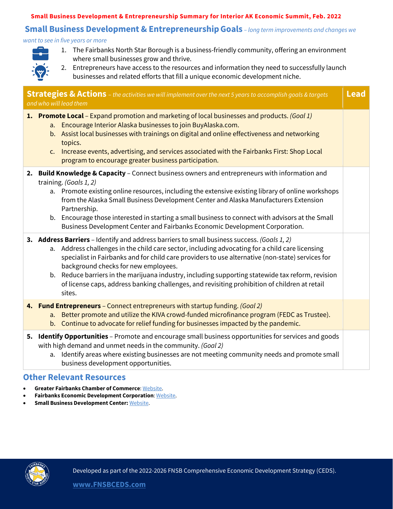#### **Small Business Development & Entrepreneurship Summary for Interior AK Economic Summit, Feb. 2022**

### **Small Business Development & EntrepreneurshipGoals** *– long term improvements and changes we*

*want to see in five years or more*



- 1. The Fairbanks North Star Borough is a business-friendly community, offering an environment where small businesses grow and thrive.
- 2. Entrepreneurs have access to the resources and information they need to successfully launch businesses and related efforts that fill a unique economic development niche.

| <b>Strategies &amp; Actions</b> - the activities we will implement over the next 5 years to accomplish goals & targets<br>and who will lead them |                                                                                                                                                                                                                                                                                                                                                                                                                                                                                                                                                                                                                                                                                                                                                                                                                                                                                                                                                                                                                                                                                         |  |
|--------------------------------------------------------------------------------------------------------------------------------------------------|-----------------------------------------------------------------------------------------------------------------------------------------------------------------------------------------------------------------------------------------------------------------------------------------------------------------------------------------------------------------------------------------------------------------------------------------------------------------------------------------------------------------------------------------------------------------------------------------------------------------------------------------------------------------------------------------------------------------------------------------------------------------------------------------------------------------------------------------------------------------------------------------------------------------------------------------------------------------------------------------------------------------------------------------------------------------------------------------|--|
|                                                                                                                                                  | 1. Promote Local – Expand promotion and marketing of local businesses and products. (Goal 1)<br>a. Encourage Interior Alaska businesses to join BuyAlaska.com.<br>b. Assist local businesses with trainings on digital and online effectiveness and networking<br>topics.<br>Increase events, advertising, and services associated with the Fairbanks First: Shop Local<br>c.<br>program to encourage greater business participation.                                                                                                                                                                                                                                                                                                                                                                                                                                                                                                                                                                                                                                                   |  |
|                                                                                                                                                  | 2. Build Knowledge & Capacity - Connect business owners and entrepreneurs with information and<br>training. (Goals 1, 2)<br>a. Promote existing online resources, including the extensive existing library of online workshops<br>from the Alaska Small Business Development Center and Alaska Manufacturers Extension<br>Partnership.<br>b. Encourage those interested in starting a small business to connect with advisors at the Small<br>Business Development Center and Fairbanks Economic Development Corporation.<br>3. Address Barriers - Identify and address barriers to small business success. (Goals 1, 2)<br>a. Address challenges in the child care sector, including advocating for a child care licensing<br>specialist in Fairbanks and for child care providers to use alternative (non-state) services for<br>background checks for new employees.<br>b. Reduce barriers in the marijuana industry, including supporting statewide tax reform, revision<br>of license caps, address banking challenges, and revisiting prohibition of children at retail<br>sites. |  |
|                                                                                                                                                  | 4. Fund Entrepreneurs - Connect entrepreneurs with startup funding. (Goal 2)<br>Better promote and utilize the KIVA crowd-funded microfinance program (FEDC as Trustee).<br>a.<br>b. Continue to advocate for relief funding for businesses impacted by the pandemic.                                                                                                                                                                                                                                                                                                                                                                                                                                                                                                                                                                                                                                                                                                                                                                                                                   |  |
|                                                                                                                                                  | 5. Identify Opportunities - Promote and encourage small business opportunities for services and goods<br>with high demand and unmet needs in the community. (Goal 2)<br>a. Identify areas where existing businesses are not meeting community needs and promote small<br>business development opportunities.                                                                                                                                                                                                                                                                                                                                                                                                                                                                                                                                                                                                                                                                                                                                                                            |  |

#### **Other Relevant Resources**

- **Greater Fairbanks Chamber of Commerce**[: Website.](https://www.fairbankschamber.org/)
- **Fairbanks Economic Development Corporation**: [Website.](https://www.investfairbanks.com/)
- **Small Business Development Center:** [Website.](https://aksbdc.org/)

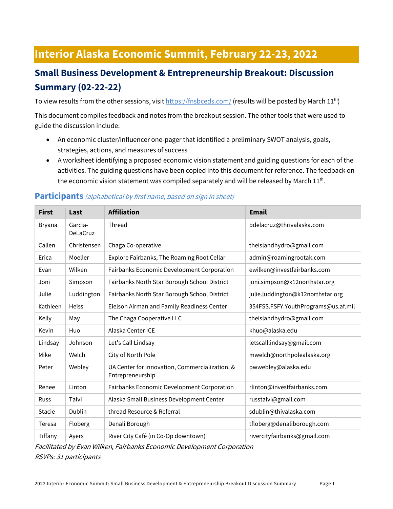# **Interior Alaska Economic Summit, February 22-23, 2022**

# **Small Business Development & Entrepreneurship Breakout: Discussion Summary (02-22-22)**

To view results from the other sessions, visi[t https://fnsbceds.com/](https://fnsbceds.com/) (results will be posted by March 11<sup>th</sup>)

This document compiles feedback and notes from the breakout session. The other tools that were used to guide the discussion include:

- An economic cluster/influencer one-pager that identified a preliminary SWOT analysis, goals, strategies, actions, and measures of success
- A worksheet identifying a proposed economic vision statement and guiding questions for each of the activities. The guiding questions have been copied into this document for reference. The feedback on the economic vision statement was compiled separately and will be released by March  $11^{th}$ .

## **First Last Affiliation Email** Bryana Garcia-DeLaCruz Thread bdelacruz@thrivalaska.com Callen Christensen Chaga Co-operative [theislandhydro@gmail.com](mailto:theislandhydro@gmail.com) Erica Moeller Explore Fairbanks, The Roaming Root Cellar [admin@roamingrootak.com](mailto:admin@roamingrootak.com) Evan Wilken Fairbanks Economic Development Corporation [ewilken@investfairbanks.com](mailto:ewilken@investfairbanks.com) Joni Simpson Fairbanks North Star Borough School District | [joni.simpson@k12northstar.org](mailto:joni.simpson@k12northstar.org) Julie | Luddington | Fairbanks North Star Borough School District | julie.luddington@k12northstar.org Kathleen | Heiss | Eielson Airman and Family Readiness Center | 354FSS.FSFY.YouthPrograms@us.af.mil Kelly May The Chaga Cooperative LLC theislandhydro@gmail.com Kevin Huo Alaska Center ICE khuo@alaska.edu Lindsay Johnson Let's Call Lindsay and the Letscall Lindsay Letscalllindsay@gmail.com Mike Welch City of North Pole metal [mwelch@northpolealaska.org](mailto:mwelch@northpolealaska.org) Peter | Webley | UA Center for Innovation, Commercialization, & Entrepreneurship pwwebley@alaska.edu Renee Linton Fairbanks Economic Development Corporation [rlinton@investfairbanks.com](mailto:rlinton@investfairbanks.com) Russ Talvi Alaska Small Business Development Center [russtalvi@gmail.com](mailto:russtalvi@gmail.com) Stacie Dublin thread Resource & Referral states solution by the dublin@thivalaska.com Teresa Floberg Denali Borough the Denalic Denal Borough the Denal Pole of the Denal Alberg Denal Albert Library Tiffany Ayers River City Café (in Co-Op downtown) rivercityfairbanks@gmail.com

#### **Participants** (alphabetical by first name, based on sign in sheet)

Facilitated by Evan Wilken, Fairbanks Economic Development Corporation RSVPs: 31 participants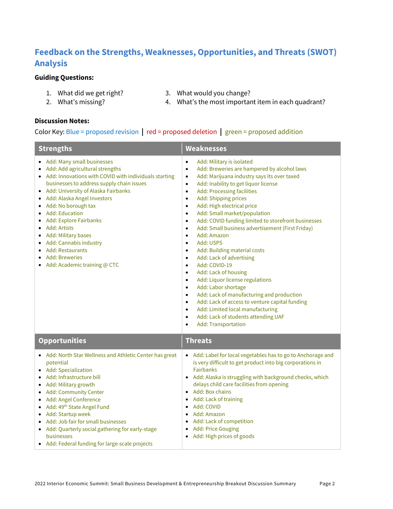## **Feedback on the Strengths, Weaknesses, Opportunities, and Threats (SWOT) Analysis**

#### **Guiding Questions:**

- 
- 2. What's missing?
- 1. What did we get right? 3. What would you change?
	- 4. What's the most important item in each quadrant?

#### **Discussion Notes:**

#### Color Key: Blue = proposed revision **|** red = proposed deletion **|** green = proposed addition

| <b>Strengths</b>                                                                                                                                                                                                                                                                                                                                                                                                                                                                                                | <b>Weaknesses</b>                                                                                                                                                                                                                                                                                                                                                                                                                                                                                                                                                                                                                                                                                                                                                                                                                                                                                                                                                                                                                                                                                     |  |
|-----------------------------------------------------------------------------------------------------------------------------------------------------------------------------------------------------------------------------------------------------------------------------------------------------------------------------------------------------------------------------------------------------------------------------------------------------------------------------------------------------------------|-------------------------------------------------------------------------------------------------------------------------------------------------------------------------------------------------------------------------------------------------------------------------------------------------------------------------------------------------------------------------------------------------------------------------------------------------------------------------------------------------------------------------------------------------------------------------------------------------------------------------------------------------------------------------------------------------------------------------------------------------------------------------------------------------------------------------------------------------------------------------------------------------------------------------------------------------------------------------------------------------------------------------------------------------------------------------------------------------------|--|
| • Add: Many small businesses<br>• Add: Add agricultural strengths<br>• Add: Innovations with COVID with individuals starting<br>businesses to address supply chain issues<br>• Add: University of Alaska Fairbanks<br>· Add: Alaska Angel Investors<br>• Add: No borough tax<br>• Add: Education<br><b>Add: Explore Fairbanks</b><br>Add: Artists<br>• Add: Military bases<br>Add: Cannabis industry<br>$\bullet$<br>• Add: Restaurants<br><b>Add: Breweries</b><br>$\bullet$<br>• Add: Academic training @ CTC | Add: Military is isolated<br>$\bullet$<br>Add: Breweries are hampered by alcohol laws<br>$\bullet$<br>Add: Marijuana industry says its over taxed<br>$\bullet$<br>Add: Inability to get liquor license<br>$\bullet$<br>Add: Processing facilities<br>$\bullet$<br>Add: Shipping prices<br>$\bullet$<br>Add: High electrical price<br>$\bullet$<br>Add: Small market/population<br>$\bullet$<br>Add: COVID funding limited to storefront businesses<br>$\bullet$<br>Add: Small business advertisement (First Friday)<br>$\bullet$<br>Add: Amazon<br>$\bullet$<br>Add: USPS<br>$\bullet$<br>Add: Building material costs<br>$\bullet$<br>Add: Lack of advertising<br>$\bullet$<br>Add: COVID-19<br>$\bullet$<br>Add: Lack of housing<br>$\bullet$<br>Add: Liquor license regulations<br>$\bullet$<br>Add: Labor shortage<br>$\bullet$<br>Add: Lack of manufacturing and production<br>$\bullet$<br>Add: Lack of access to venture capital funding<br>$\bullet$<br>Add: Limited local manufacturing<br>$\bullet$<br>Add: Lack of students attending UAF<br>$\bullet$<br>Add: Transportation<br>$\bullet$ |  |
| <b>Opportunities</b>                                                                                                                                                                                                                                                                                                                                                                                                                                                                                            | <b>Threats</b>                                                                                                                                                                                                                                                                                                                                                                                                                                                                                                                                                                                                                                                                                                                                                                                                                                                                                                                                                                                                                                                                                        |  |
| • Add: North Star Wellness and Athletic Center has great<br>potential<br>• Add: Specialization<br>• Add: Infrastructure bill<br>• Add: Military growth<br>• Add: Community Center<br>Add: Angel Conference<br>• Add: 49 <sup>th</sup> State Angel Fund<br>• Add: Startup week<br>• Add: Job fair for small businesses<br>• Add: Quarterly social gathering for early-stage<br>businesses<br>• Add: Federal funding for large-scale projects                                                                     | • Add: Label for local vegetables has to go to Anchorage and<br>is very difficult to get product into big corporations in<br><b>Fairbanks</b><br>• Add: Alaska is struggling with background checks, which<br>delays child care facilities from opening<br>Add: Box chains<br>$\bullet$<br>Add: Lack of training<br>Add: COVID<br>$\bullet$<br>Add: Amazon<br>$\bullet$<br>• Add: Lack of competition<br><b>Add: Price Gouging</b><br>$\bullet$<br>• Add: High prices of goods                                                                                                                                                                                                                                                                                                                                                                                                                                                                                                                                                                                                                        |  |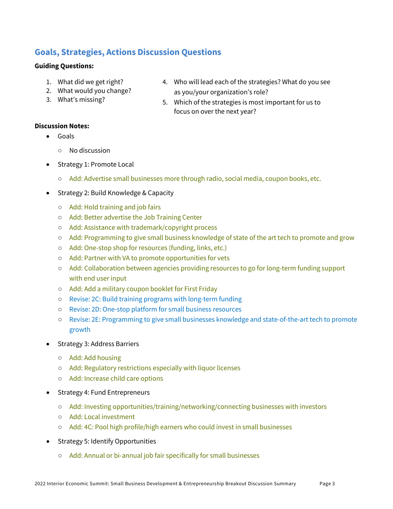### **Goals, Strategies, Actions Discussion Questions**

#### **Guiding Questions:**

- 1. What did we get right?
- 2. What would you change?
- 3. What's missing?
- 4. Who will lead each of the strategies? What do you see as you/your organization's role?
- 5. Which of the strategies is most important for us to focus on over the next year?

#### **Discussion Notes:**

- Goals
	- No discussion
- Strategy 1: Promote Local
	- Add: Advertise small businesses more through radio, social media, coupon books, etc.
- Strategy 2: Build Knowledge & Capacity
	- Add: Hold training and job fairs
	- Add: Better advertise the Job Training Center
	- Add: Assistance with trademark/copyright process
	- Add: Programming to give small business knowledge of state of the art tech to promote and grow
	- Add: One-stop shop for resources (funding, links, etc.)
	- Add: Partner with VA to promote opportunities for vets
	- Add: Collaboration between agencies providing resources to go for long-term funding support with end user input
	- Add: Add a military coupon booklet for First Friday
	- Revise: 2C: Build training programs with long-term funding
	- Revise: 2D: One-stop platform for small business resources
	- Revise: 2E: Programming to give small businesses knowledge and state-of-the-art tech to promote growth
- Strategy 3: Address Barriers
	- Add: Add housing
	- Add: Regulatory restrictions especially with liquor licenses
	- Add: Increase child care options
- Strategy 4: Fund Entrepreneurs
	- Add: Investing opportunities/training/networking/connecting businesses with investors
	- Add: Local investment
	- Add: 4C: Pool high profile/high earners who could invest in small businesses
- Strategy 5: Identify Opportunities
	- Add: Annual or bi-annual job fair specifically for small businesses